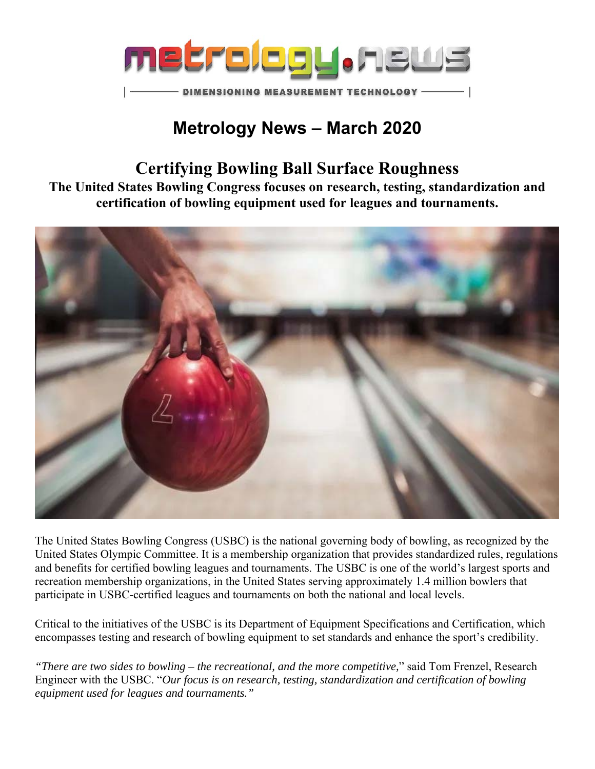

## **Metrology News – March 2020**

## **Certifying Bowling Ball Surface Roughness**

**The United States Bowling Congress focuses on research, testing, standardization and certification of bowling equipment used for leagues and tournaments.** 



The United States Bowling Congress (USBC) is the national governing body of bowling, as recognized by the United States Olympic Committee. It is a membership organization that provides standardized rules, regulations and benefits for certified bowling leagues and tournaments. The USBC is one of the world's largest sports and recreation membership organizations, in the United States serving approximately 1.4 million bowlers that participate in USBC-certified leagues and tournaments on both the national and local levels.

Critical to the initiatives of the USBC is its Department of Equipment Specifications and Certification, which encompasses testing and research of bowling equipment to set standards and enhance the sport's credibility.

*"There are two sides to bowling – the recreational, and the more competitive,*" said Tom Frenzel, Research Engineer with the USBC. "*Our focus is on research, testing, standardization and certification of bowling equipment used for leagues and tournaments."*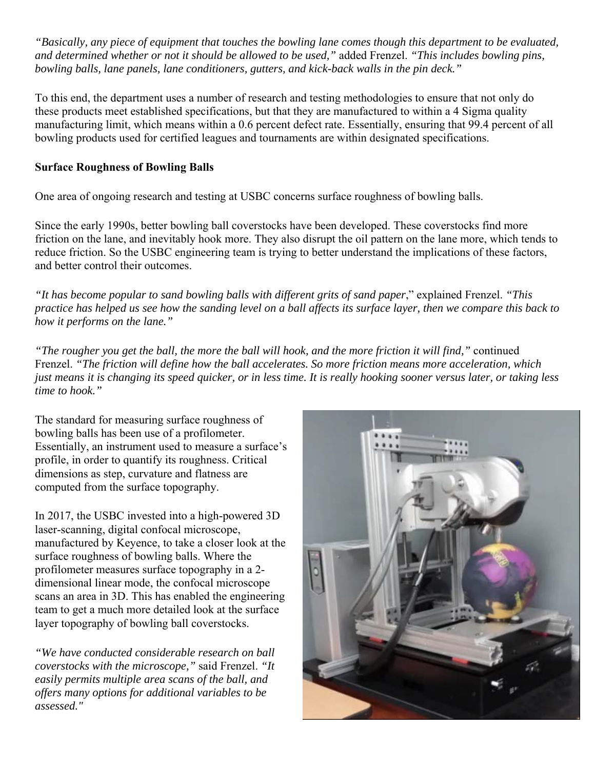*"Basically, any piece of equipment that touches the bowling lane comes though this department to be evaluated, and determined whether or not it should be allowed to be used,"* added Frenzel. *"This includes bowling pins, bowling balls, lane panels, lane conditioners, gutters, and kick-back walls in the pin deck."* 

To this end, the department uses a number of research and testing methodologies to ensure that not only do these products meet established specifications, but that they are manufactured to within a 4 Sigma quality manufacturing limit, which means within a 0.6 percent defect rate. Essentially, ensuring that 99.4 percent of all bowling products used for certified leagues and tournaments are within designated specifications.

## **Surface Roughness of Bowling Balls**

One area of ongoing research and testing at USBC concerns surface roughness of bowling balls.

Since the early 1990s, better bowling ball coverstocks have been developed. These coverstocks find more friction on the lane, and inevitably hook more. They also disrupt the oil pattern on the lane more, which tends to reduce friction. So the USBC engineering team is trying to better understand the implications of these factors, and better control their outcomes.

*"It has become popular to sand bowling balls with different grits of sand paper*," explained Frenzel. *"This practice has helped us see how the sanding level on a ball affects its surface layer, then we compare this back to how it performs on the lane."*

*"The rougher you get the ball, the more the ball will hook, and the more friction it will find,"* continued Frenzel. *"The friction will define how the ball accelerates. So more friction means more acceleration, which just means it is changing its speed quicker, or in less time. It is really hooking sooner versus later, or taking less time to hook."*

The standard for measuring surface roughness of bowling balls has been use of a profilometer. Essentially, an instrument used to measure a surface's profile, in order to quantify its roughness. Critical dimensions as step, curvature and flatness are computed from the surface topography.

In 2017, the USBC invested into a high-powered 3D laser-scanning, digital confocal microscope, manufactured by Keyence, to take a closer look at the surface roughness of bowling balls. Where the profilometer measures surface topography in a 2 dimensional linear mode, the confocal microscope scans an area in 3D. This has enabled the engineering team to get a much more detailed look at the surface layer topography of bowling ball coverstocks.

*"We have conducted considerable research on ball coverstocks with the microscope,"* said Frenzel. *"It easily permits multiple area scans of the ball, and offers many options for additional variables to be assessed."*